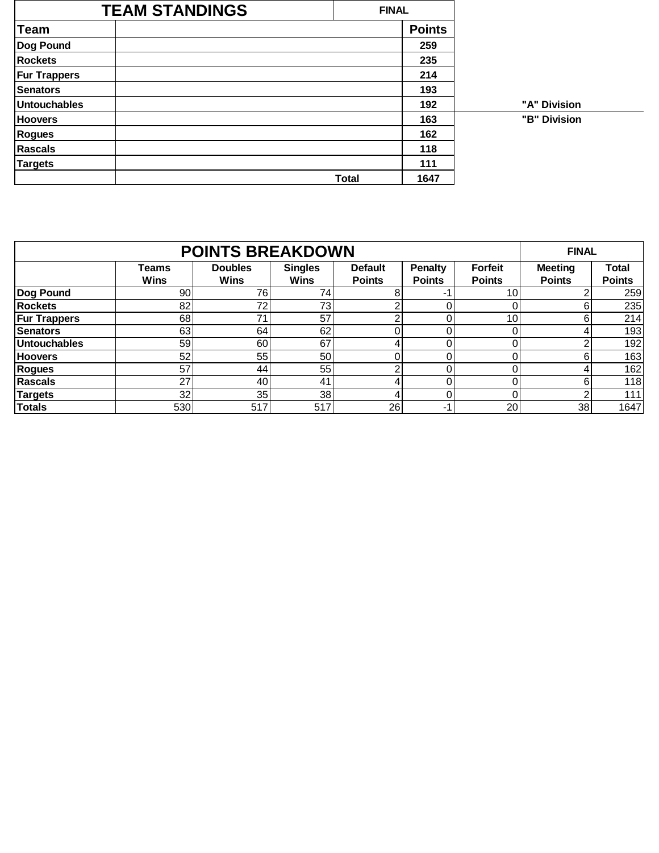| <b>TEAM STANDINGS</b> |              | <b>FINAL</b>  |              |
|-----------------------|--------------|---------------|--------------|
| <b>Team</b>           |              | <b>Points</b> |              |
| Dog Pound             |              | 259           |              |
| <b>Rockets</b>        |              | 235           |              |
| <b>Fur Trappers</b>   |              | 214           |              |
| <b>Senators</b>       |              | 193           |              |
| <b>Untouchables</b>   |              | 192           | "A" Division |
| <b>Hoovers</b>        |              | 163           | "B" Division |
| Rogues                |              | 162           |              |
| <b>Rascals</b>        |              | 118           |              |
| <b>Targets</b>        |              | 111           |              |
|                       | <b>Total</b> | 1647          |              |

|                     |                             | <b>FINAL</b>                  |                               |                                 |                                 |                                 |                                 |                               |
|---------------------|-----------------------------|-------------------------------|-------------------------------|---------------------------------|---------------------------------|---------------------------------|---------------------------------|-------------------------------|
|                     | <b>Teams</b><br><b>Wins</b> | <b>Doubles</b><br><b>Wins</b> | <b>Singles</b><br><b>Wins</b> | <b>Default</b><br><b>Points</b> | <b>Penalty</b><br><b>Points</b> | <b>Forfeit</b><br><b>Points</b> | <b>Meeting</b><br><b>Points</b> | <b>Total</b><br><b>Points</b> |
| Dog Pound           | 90                          | 76                            | 74                            | 8                               |                                 | 10 <sub>1</sub>                 |                                 | 259                           |
| <b>Rockets</b>      | 82                          | 72                            | 73                            | ⌒                               |                                 |                                 | Բ                               | 235                           |
| <b>Fur Trappers</b> | 68                          | 71                            | 57                            | ⌒                               |                                 | 10 <sub>1</sub>                 | 6                               | 214                           |
| <b>Senators</b>     | 63                          | 64                            | 62                            |                                 |                                 |                                 |                                 | 193                           |
| <b>Untouchables</b> | 59                          | 60                            | 67                            | $\mathbf 4$                     |                                 | 0                               |                                 | 192                           |
| <b>Hoovers</b>      | 52                          | 55                            | 50                            |                                 |                                 | 0                               | 6                               | 163                           |
| Rogues              | 57                          | 44                            | 55                            | ົ                               |                                 | 0                               |                                 | 162                           |
| <b>Rascals</b>      | 27                          | 40                            | 41                            | Δ.                              |                                 |                                 | 6                               | 118                           |
| <b>Targets</b>      | 32                          | 35                            | 38                            | 4                               |                                 | 0                               | ◠                               | 111                           |
| <b>Totals</b>       | 530                         | 517                           | 517                           | 26                              |                                 | 20                              | 38                              | 1647                          |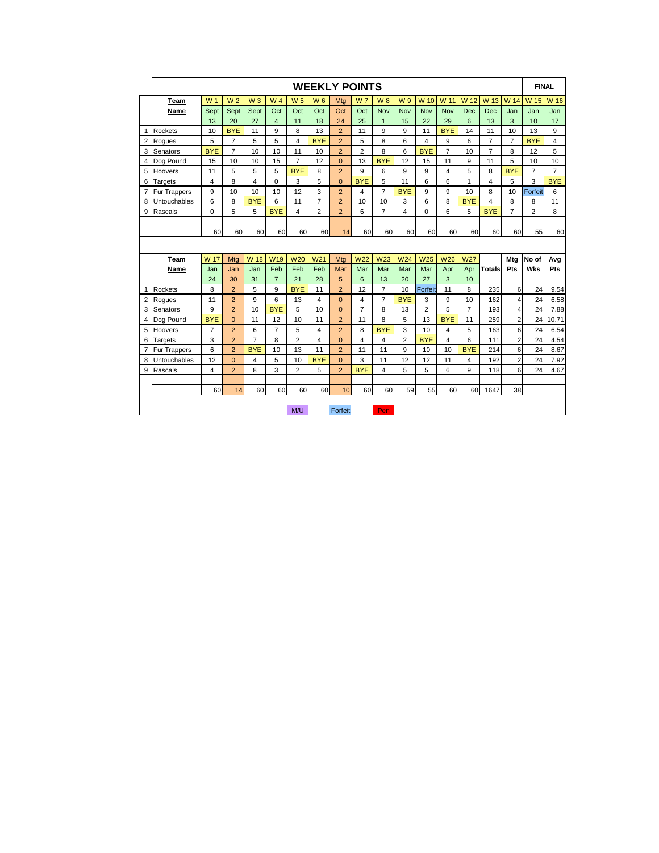|                |                     |                         |                |                |                |                | <b>WEEKLY POINTS</b>    |                |                |                |                |                 |                |                |                |                | <b>FINAL</b>            |                |
|----------------|---------------------|-------------------------|----------------|----------------|----------------|----------------|-------------------------|----------------|----------------|----------------|----------------|-----------------|----------------|----------------|----------------|----------------|-------------------------|----------------|
|                | Team                | W <sub>1</sub>          | W <sub>2</sub> | $W_3$          | W <sub>4</sub> | W <sub>5</sub> | W <sub>6</sub>          | Mta            | <b>W7</b>      | <b>W8</b>      | W9             | W 10            | W 11           | W 12           | W 13           | W 14           | W 15                    | W 16           |
|                | Name                | Sept                    | Sept           | Sept           | Oct            | Oct            | Oct                     | Oct            | Oct            | Nov            | <b>Nov</b>     | <b>Nov</b>      | Nov            | Dec            | <b>Dec</b>     | Jan            | Jan                     | Jan            |
|                |                     | 13                      | 20             | 27             | $\overline{4}$ | 11             | 18                      | 24             | 25             | $\mathbf{1}$   | 15             | 22              | 29             | 6              | 13             | 3              | 10                      | 17             |
| $\mathbf{1}$   | Rockets             | 10                      | <b>BYE</b>     | 11             | 9              | 8              | 13                      | $\overline{2}$ | 11             | 9              | 9              | 11              | <b>BYE</b>     | 14             | 11             | 10             | 13                      | 9              |
| $\overline{2}$ | Roques              | 5                       | $\overline{7}$ | 5              | 5              | $\overline{4}$ | <b>BYE</b>              | $\overline{2}$ | 5              | 8              | 6              | 4               | 9              | 6              | $\overline{7}$ | $\overline{7}$ | <b>BYE</b>              | 4              |
|                | 3 Senators          | <b>BYE</b>              | $\overline{7}$ | 10             | 10             | 11             | 10                      | $\overline{2}$ | $\overline{2}$ | 8              | 6              | <b>BYE</b>      | $\overline{7}$ | 10             | $\overline{7}$ | 8              | 12                      | 5              |
| $\overline{4}$ | Dog Pound           | 15                      | 10             | 10             | 15             | $\overline{7}$ | 12                      | $\overline{0}$ | 13             | <b>BYE</b>     | 12             | 15              | 11             | 9              | 11             | 5              | 10                      | 10             |
| 5              | Hoovers             | 11                      | 5              | 5              | 5              | <b>BYE</b>     | 8                       | $\overline{2}$ | 9              | 6              | 9              | 9               | 4              | 5              | 8              | <b>BYE</b>     | $\overline{7}$          | $\overline{7}$ |
| 6              | Targets             | $\overline{\mathbf{4}}$ | 8              | $\overline{4}$ | $\mathbf 0$    | 3              | 5                       | $\mathbf 0$    | <b>BYE</b>     | 5              | 11             | 6               | 6              | 1              | $\overline{4}$ | 5              | 3                       | <b>BYE</b>     |
| $\overline{7}$ | <b>Fur Trappers</b> | 9                       | 10             | 10             | 10             | 12             | 3                       | $\overline{2}$ | 4              | $\overline{7}$ | <b>BYE</b>     | 9               | 9              | 10             | 8              | 10             | Forfeit                 | 6              |
| 8              | Untouchables        | 6                       | 8              | <b>BYE</b>     | 6              | 11             | $\overline{7}$          | $\overline{2}$ | 10             | 10             | 3              | 6               | 8              | <b>BYE</b>     | 4              | 8              | 8                       | 11             |
| 9              | Rascals             | $\mathbf 0$             | 5              | 5              | <b>BYE</b>     | $\overline{4}$ | $\overline{\mathbf{c}}$ | $\overline{2}$ | 6              | $\overline{7}$ | 4              | $\Omega$        | 6              | 5              | <b>BYE</b>     | $\overline{7}$ | $\overline{\mathbf{c}}$ | 8              |
|                |                     |                         |                |                |                |                |                         |                |                |                |                |                 |                |                |                |                |                         |                |
|                |                     | 60                      | 60             | 60             | 60             | 60             | 60                      | 14             | 60             | 60             | 60             | 60              | 60             | 60             | 60             | 60             | 55                      | 60             |
|                |                     |                         |                |                |                |                |                         |                |                |                |                |                 |                |                |                |                |                         |                |
|                | Team                | W 17                    | Mta            | W 18           | <b>W19</b>     | <b>W20</b>     | W <sub>21</sub>         | Mtg            | <b>W22</b>     | <b>W23</b>     | W24            | W <sub>25</sub> | <b>W26</b>     | <b>W27</b>     |                | Mtg            | No of                   | Avg            |
|                | Name                | Jan                     | Jan            | Jan            | Feb            | Feb            | Feb                     | Mar            | Mar            | Mar            | Mar            | Mar             | Apr            | Apr            | <b>Totals</b>  | Pts            | <b>Wks</b>              | Pts            |
|                |                     | 24                      | 30             | 31             | $\overline{7}$ | 21             | 28                      | 5              | 6              | 13             | 20             | 27              | 3              | 10             |                |                |                         |                |
| $\mathbf{1}$   | Rockets             | 8                       | $\overline{2}$ | 5              | 9              | <b>BYE</b>     | 11                      | $\overline{2}$ | 12             | $\overline{7}$ | 10             | Forfeit         | 11             | 8              | 235            | 6              | 24                      | 9.54           |
| 2              | Roques              | 11                      | $\overline{2}$ | 9              | 6              | 13             | 4                       | $\mathbf 0$    | 4              | $\overline{7}$ | <b>BYE</b>     | 3               | 9              | 10             | 162            | 4              | 24                      | 6.58           |
|                | 3 Senators          | 9                       | $\overline{2}$ | 10             | <b>BYE</b>     | 5              | 10                      | $\overline{0}$ | $\overline{7}$ | 8              | 13             | $\overline{2}$  | 5              | $\overline{7}$ | 193            | $\overline{4}$ | 24                      | 7.88           |
| 4              | Dog Pound           | <b>BYE</b>              | $\overline{0}$ | 11             | 12             | 10             | 11                      | $\overline{2}$ | 11             | 8              | 5              | 13              | <b>BYE</b>     | 11             | 259            | $\overline{2}$ | 24                      | 10.71          |
| 5              | Hoovers             | $\overline{7}$          | $\overline{2}$ | 6              | $\overline{7}$ | 5              | 4                       | $\overline{2}$ | 8              | <b>BYE</b>     | 3              | 10              | 4              | 5              | 163            | 6              | 24                      | 6.54           |
| 6              | Targets             | 3                       | $\overline{2}$ | $\overline{7}$ | 8              | $\overline{2}$ | 4                       | $\overline{0}$ | 4              | 4              | $\overline{2}$ | <b>BYE</b>      | 4              | 6              | 111            | $\overline{2}$ | 24                      | 4.54           |
| $\overline{7}$ | <b>Fur Trappers</b> | 6                       | $\overline{2}$ | <b>BYE</b>     | 10             | 13             | 11                      | $\overline{2}$ | 11             | 11             | 9              | 10              | 10             | <b>BYE</b>     | 214            | 6              | 24                      | 8.67           |
| 8              | Untouchables        | 12                      | $\overline{0}$ | 4              | 5              | 10             | <b>BYE</b>              | $\overline{0}$ | 3              | 11             | 12             | 12              | 11             | 4              | 192            | $\overline{2}$ | 24                      | 7.92           |
| 9              | Rascals             | 4                       | $\overline{2}$ | 8              | 3              | $\overline{2}$ | 5                       | $\overline{2}$ | <b>BYE</b>     | $\overline{4}$ | 5              | 5               | 6              | 9              | 118            | 6              | 24                      | 4.67           |
|                |                     |                         |                |                |                |                |                         |                |                |                |                |                 |                |                |                |                |                         |                |
|                |                     | 60                      | 14             | 60             | 60             | 60             | 60                      | 10             | 60             | 60             | 59             | 55              | 60             | 60             | 1647           | 38             |                         |                |
|                |                     |                         |                |                |                |                |                         |                |                |                |                |                 |                |                |                |                |                         |                |
|                |                     |                         |                |                |                | M/U            |                         | Forfeit        |                | Pen            |                |                 |                |                |                |                |                         |                |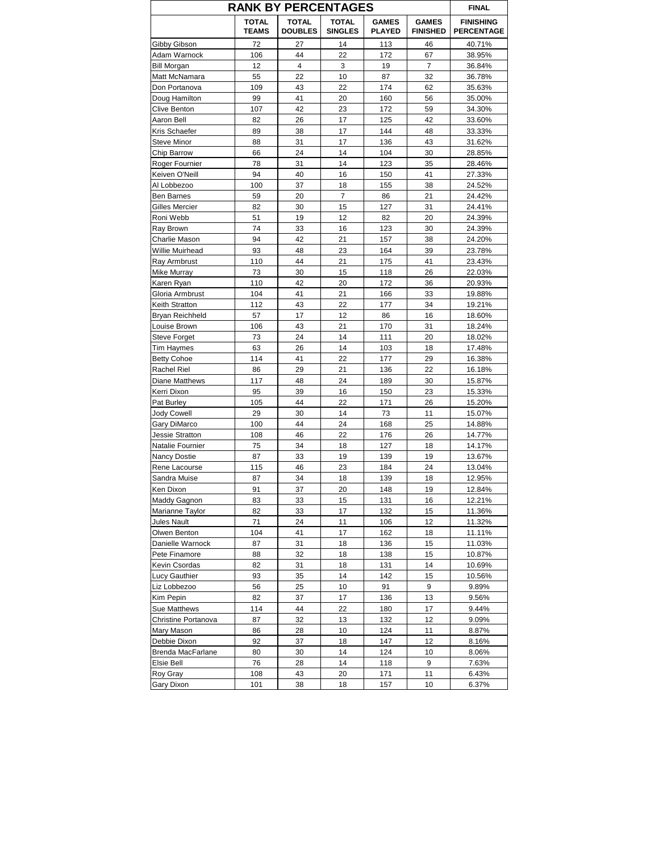|                                     | <b>RANK BY PERCENTAGES</b>   |                                |                                |                               |                                 | <b>FINAL</b>                          |
|-------------------------------------|------------------------------|--------------------------------|--------------------------------|-------------------------------|---------------------------------|---------------------------------------|
|                                     | <b>TOTAL</b><br><b>TEAMS</b> | <b>TOTAL</b><br><b>DOUBLES</b> | <b>TOTAL</b><br><b>SINGLES</b> | <b>GAMES</b><br><b>PLAYED</b> | <b>GAMES</b><br><b>FINISHED</b> | <b>FINISHING</b><br><b>PERCENTAGE</b> |
| Gibby Gibson                        | 72                           | 27                             | 14                             | 113                           | 46                              | 40.71%                                |
| Adam Warnock                        | 106                          | 44                             | 22                             | 172                           | 67                              | 38.95%                                |
| <b>Bill Morgan</b>                  | 12                           | 4                              | 3                              | 19                            | $\overline{7}$                  | 36.84%                                |
| Matt McNamara                       | 55                           | 22                             | 10                             | 87                            | 32                              | 36.78%                                |
| Don Portanova                       | 109                          | 43                             | 22                             | 174                           | 62                              | 35.63%                                |
| Doug Hamilton                       | 99                           | 41                             | 20                             | 160                           | 56                              | 35.00%                                |
| Clive Benton                        | 107                          | 42                             | 23                             | 172                           | 59                              | 34.30%                                |
| Aaron Bell                          | 82                           | 26                             | 17                             | 125                           | 42                              | 33.60%                                |
| Kris Schaefer                       | 89                           | 38                             | 17                             | 144                           | 48                              | 33.33%                                |
| Steve Minor                         | 88                           | 31                             | 17                             | 136                           | 43                              | 31.62%                                |
| Chip Barrow                         | 66                           | 24                             | 14                             | 104                           | 30                              | 28.85%                                |
| Roger Fournier                      | 78                           | 31                             | 14                             | 123                           | 35                              | 28.46%                                |
| Keiven O'Neill                      | 94                           | 40                             | 16                             | 150                           | 41                              | 27.33%                                |
| Al Lobbezoo                         | 100                          | 37                             | 18                             | 155                           | 38                              | 24.52%                                |
| Ben Barnes                          | 59                           | 20                             | 7                              | 86                            | 21                              | 24.42%                                |
| Gilles Mercier                      | 82                           | 30                             | 15                             | 127                           | 31                              | 24.41%                                |
| Roni Webb                           | 51                           | 19                             | 12                             | 82                            | 20                              | 24.39%                                |
| Ray Brown                           | 74                           | 33                             | 16                             | 123                           | 30                              | 24.39%                                |
| Charlie Mason                       | 94                           | 42                             | 21                             | 157                           | 38                              | 24.20%                                |
| Willie Muirhead                     | 93                           | 48                             | 23                             | 164                           | 39                              | 23.78%                                |
| Ray Armbrust                        | 110                          | 44                             | 21                             | 175                           | 41                              | 23.43%                                |
| Mike Murray                         | 73                           | 30                             | 15                             | 118                           | 26                              | 22.03%                                |
| Karen Ryan                          | 110                          | 42                             | 20                             | 172                           | 36                              | 20.93%                                |
| Gloria Armbrust                     | 104                          | 41                             | 21                             | 166                           | 33                              | 19.88%                                |
| Keith Stratton                      | 112                          | 43                             | 22                             | 177                           | 34                              | 19.21%                                |
| Bryan Reichheld                     | 57                           | 17                             | 12                             | 86                            | 16                              | 18.60%                                |
| Louise Brown                        | 106                          | 43                             | 21                             | 170                           | 31                              | 18.24%                                |
| Steve Forget                        | 73                           | 24                             | 14                             | 111                           | 20                              | 18.02%                                |
| Tim Haymes                          | 63                           | 26                             | 14                             | 103                           | 18                              | 17.48%                                |
| <b>Betty Cohoe</b>                  | 114                          | 41                             | 22                             | 177                           | 29                              | 16.38%                                |
| Rachel Riel                         | 86                           | 29                             | 21                             | 136                           | 22                              | 16.18%                                |
| Diane Matthews                      | 117                          | 48                             | 24                             | 189                           | 30                              | 15.87%                                |
| Kerri Dixon                         | 95                           | 39                             | 16                             | 150                           | 23                              | 15.33%                                |
| Pat Burley                          | 105                          | 44                             | 22                             | 171                           | 26                              | 15.20%                                |
| <b>Jody Cowell</b>                  | 29                           | 30                             | 14                             | 73                            | 11                              | 15.07%                                |
| Gary DiMarco                        | 100                          | 44                             | 24                             | 168                           | 25                              | 14.88%                                |
|                                     | 108                          | 46                             | 22                             | 176                           | 26                              | 14.77%                                |
| Jessie Stratton<br>Natalie Fournier | 75                           | 34                             | 18                             | 127                           | 18                              | 14.17%                                |
| <b>Nancy Dostie</b>                 | 87                           | 33                             | 19                             | 139                           | 19                              |                                       |
|                                     |                              | 46                             | 23                             | 184                           | 24                              | 13.67%<br>13.04%                      |
| Rene Lacourse<br>Sandra Muise       | 115<br>87                    | 34                             | 18                             | 139                           | 18                              | 12.95%                                |
| Ken Dixon                           |                              |                                |                                |                               |                                 |                                       |
|                                     | 91                           | 37                             | 20                             | 148                           | 19                              | 12.84%                                |
| Maddy Gagnon                        | 83                           | 33                             | 15<br>17                       | 131                           | 16                              | 12.21%                                |
| Marianne Taylor                     | 82                           | 33                             |                                | 132                           | 15                              | 11.36%                                |
| Jules Nault                         | 71                           | 24<br>41                       | 11                             | 106                           | 12                              | 11.32%                                |
| Olwen Benton                        | 104                          |                                | 17                             | 162                           | 18                              | 11.11%                                |
| Danielle Warnock                    | 87                           | 31                             | 18                             | 136                           | 15                              | 11.03%                                |
| Pete Finamore                       | 88                           | 32                             | 18                             | 138                           | 15                              | 10.87%                                |
| Kevin Csordas                       | 82                           | 31                             | 18                             | 131                           | 14                              | 10.69%                                |
| Lucy Gauthier                       | 93                           | 35                             | 14                             | 142                           | 15                              | 10.56%                                |
| Liz Lobbezoo                        | 56                           | 25                             | 10                             | 91                            | 9                               | 9.89%                                 |
| Kim Pepin                           | 82                           | 37                             | 17                             | 136                           | 13                              | 9.56%                                 |
| Sue Matthews                        | 114                          | 44                             | 22                             | 180                           | 17                              | 9.44%                                 |
| Christine Portanova                 | 87                           | 32                             | 13                             | 132                           | 12                              | 9.09%                                 |
| Mary Mason                          | 86                           | 28                             | 10                             | 124                           | 11                              | 8.87%                                 |
| Debbie Dixon                        | 92                           | 37                             | 18                             | 147                           | 12                              | 8.16%                                 |
| Brenda MacFarlane                   | 80                           | 30                             | 14                             | 124                           | 10                              | 8.06%                                 |
| Elsie Bell                          | 76                           | 28                             | 14                             | 118                           | 9                               | 7.63%                                 |
| Roy Gray                            | 108                          | 43                             | 20                             | 171                           | 11                              | 6.43%                                 |
| Gary Dixon                          | 101                          | 38                             | 18                             | 157                           | 10                              | 6.37%                                 |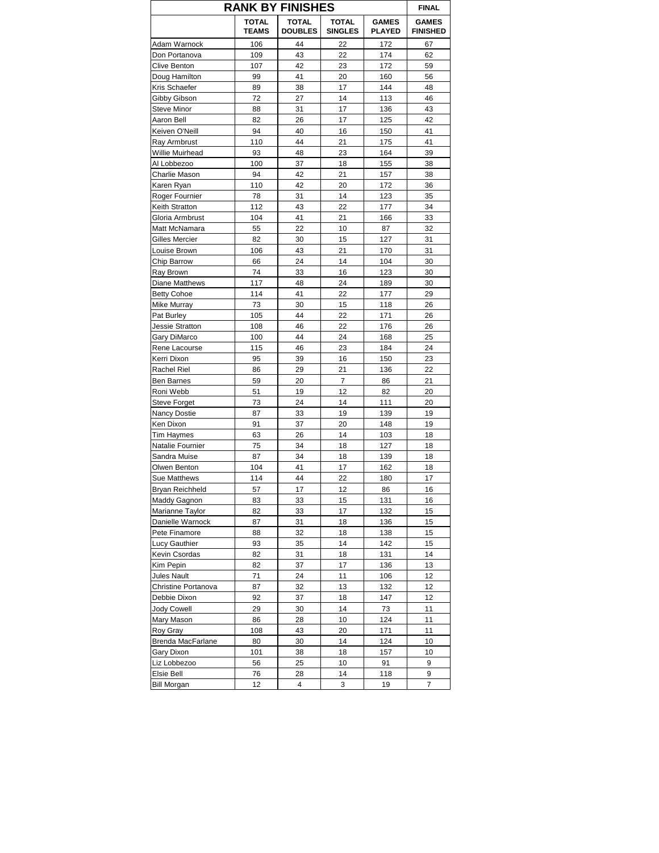|                      | <b>RANK BY FINISHES</b>      |                                |                                |                               | <b>FINAL</b>                    |
|----------------------|------------------------------|--------------------------------|--------------------------------|-------------------------------|---------------------------------|
|                      | <b>TOTAL</b><br><b>TEAMS</b> | <b>TOTAL</b><br><b>DOUBLES</b> | <b>TOTAL</b><br><b>SINGLES</b> | <b>GAMES</b><br><b>PLAYED</b> | <b>GAMES</b><br><b>FINISHED</b> |
| Adam Warnock         | 106                          | 44                             | 22                             | 172                           | 67                              |
| Don Portanova        | 109                          | 43                             | 22                             | 174                           | 62                              |
| Clive Benton         | 107                          | 42                             | 23                             | 172                           | 59                              |
| Doug Hamilton        | 99                           | 41                             | 20                             | 160                           | 56                              |
| Kris Schaefer        | 89                           | 38                             | 17                             | 144                           | 48                              |
| Gibby Gibson         | 72                           | 27                             | 14                             | 113                           | 46                              |
| Steve Minor          | 88                           | 31                             | 17                             | 136                           | 43                              |
| Aaron Bell           | 82                           | 26                             | 17                             | 125                           | 42                              |
| Keiven O'Neill       | 94                           | 40                             | 16                             | 150                           | 41                              |
| Ray Armbrust         | 110                          | 44                             | 21                             | 175                           | 41                              |
| Willie Muirhead      | 93                           | 48                             | 23                             | 164                           | 39                              |
| Al Lobbezoo          | 100                          | 37                             | 18                             | 155                           | 38                              |
|                      | 94                           | 42                             | 21                             |                               | 38                              |
| Charlie Mason        |                              |                                |                                | 157                           |                                 |
| Karen Ryan           | 110                          | 42                             | 20                             | 172                           | 36                              |
| Roger Fournier       | 78                           | 31                             | 14                             | 123                           | 35                              |
| Keith Stratton       | 112                          | 43                             | 22                             | 177                           | 34                              |
| Gloria Armbrust      | 104                          | 41                             | 21                             | 166                           | 33                              |
| Matt McNamara        | 55                           | 22                             | 10                             | 87                            | 32                              |
| Gilles Mercier       | 82                           | 30                             | 15                             | 127                           | 31                              |
| Louise Brown         | 106                          | 43                             | 21                             | 170                           | 31                              |
| Chip Barrow          | 66                           | 24                             | 14                             | 104                           | 30                              |
| Ray Brown            | 74                           | 33                             | 16                             | 123                           | 30                              |
| Diane Matthews       | 117                          | 48                             | 24                             | 189                           | 30                              |
| <b>Betty Cohoe</b>   | 114                          | 41                             | 22                             | 177                           | 29                              |
| Mike Murray          | 73                           | 30                             | 15                             | 118                           | 26                              |
|                      | 105                          | 44                             | 22                             | 171                           |                                 |
| Pat Burley           |                              |                                |                                |                               | 26                              |
| Jessie Stratton      | 108                          | 46                             | 22                             | 176                           | 26                              |
| Gary DiMarco         | 100                          | 44                             | 24                             | 168                           | 25                              |
| Rene Lacourse        | 115                          | 46                             | 23                             | 184                           | 24                              |
| Kerri Dixon          | 95                           | 39                             | 16                             | 150                           | 23                              |
| Rachel Riel          | 86                           | 29                             | 21                             | 136                           | 22                              |
| <b>Ben Barnes</b>    | 59                           | 20                             | 7                              | 86                            | 21                              |
| Roni Webb            | 51                           | 19                             | 12                             | 82                            | 20                              |
| <b>Steve Forget</b>  | 73                           | 24                             | 14                             | 111                           | 20                              |
| <b>Nancy Dostie</b>  | 87                           | 33                             | 19                             | 139                           | 19                              |
| Ken Dixon            | 91                           | 37                             | 20                             | 148                           | 19                              |
| <b>Tim Haymes</b>    | 63                           | 26                             | 14                             | 103                           | 18                              |
| Natalie Fournier     | 75                           | 34                             | 18                             | 127                           | 18                              |
| Sandra Muise         | 87                           | 34                             | 18                             | 139                           | 18                              |
| Olwen Benton         | 104                          | 41                             | 17                             | 162                           | 18                              |
| Sue Matthews         | 114                          | 44                             | 22                             | 180                           | 17                              |
| Bryan Reichheld      | 57                           | 17                             | 12                             | 86                            | 16                              |
| Maddy Gagnon         |                              | 33                             | 15                             |                               |                                 |
|                      | 83                           |                                |                                | 131                           | 16                              |
| Marianne Taylor      | 82                           | 33                             | 17                             | 132                           | 15                              |
| Danielle Warnock     | 87                           | 31                             | 18                             | 136                           | 15                              |
| Pete Finamore        | 88                           | 32                             | 18                             | 138                           | 15                              |
| <b>Lucy Gauthier</b> | 93                           | 35                             | 14                             | 142                           | 15                              |
| Kevin Csordas        | 82                           | 31                             | 18                             | 131                           | 14                              |
| Kim Pepin            | 82                           | 37                             | 17                             | 136                           | 13                              |
| Jules Nault          | 71                           | 24                             | 11                             | 106                           | 12                              |
| Christine Portanova  | 87                           | 32                             | 13                             | 132                           | 12                              |
| Debbie Dixon         | 92                           | 37                             | 18                             | 147                           | 12                              |
| <b>Jody Cowell</b>   | 29                           | 30                             | 14                             | 73                            | 11                              |
| Mary Mason           | 86                           | 28                             | 10                             | 124                           | 11                              |
| Roy Gray             | 108                          | 43                             | 20                             | 171                           | 11                              |
| Brenda MacFarlane    | 80                           | 30                             | 14                             | 124                           | 10                              |
| Gary Dixon           | 101                          | 38                             | 18                             | 157                           | 10                              |
|                      |                              |                                |                                |                               |                                 |
| Liz Lobbezoo         | 56                           | 25                             | 10                             | 91                            | 9                               |
| <b>Elsie Bell</b>    | 76                           | 28                             | 14                             | 118                           | 9                               |
| <b>Bill Morgan</b>   | 12                           | 4                              | 3                              | 19                            | 7                               |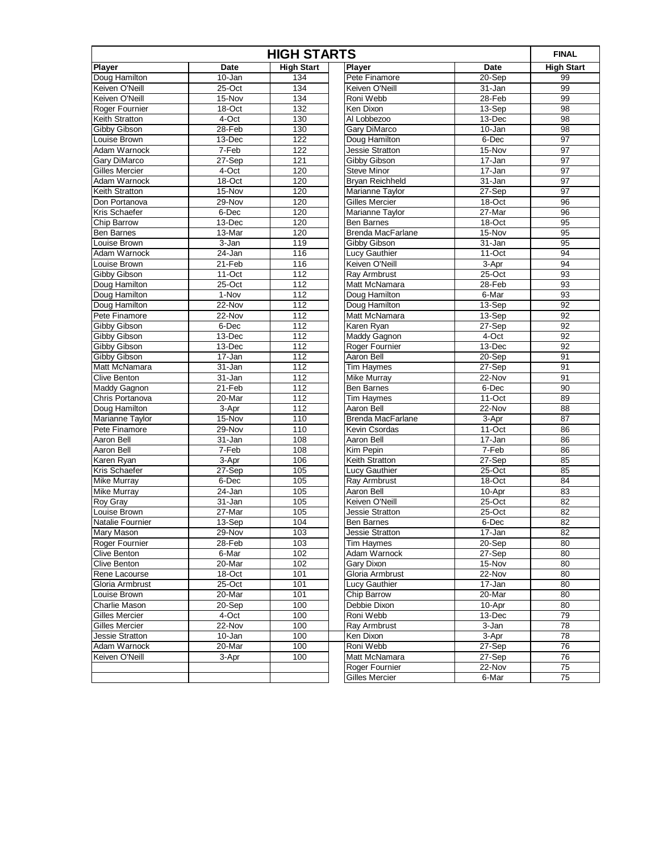| <b>HIGH STARTS</b>    |            |                   |                          |            | <b>FINAL</b>      |
|-----------------------|------------|-------------------|--------------------------|------------|-------------------|
| <b>Player</b>         | Date       | <b>High Start</b> | Player                   | Date       | <b>High Start</b> |
| Doug Hamilton         | 10-Jan     | 134               | Pete Finamore            | 20-Sep     | 99                |
| Keiven O'Neill        | $25-Oct$   | 134               | Keiven O'Neill           | 31-Jan     | 99                |
| Keiven O'Neill        | 15-Nov     | 134               | Roni Webb                | 28-Feb     | 99                |
| Roger Fournier        | 18-Oct     | 132               | Ken Dixon                | 13-Sep     | 98                |
| Keith Stratton        | $4$ -Oct   | 130               | Al Lobbezoo              | 13-Dec     | 98                |
| Gibby Gibson          | 28-Feb     | 130               | Gary DiMarco             | 10-Jan     | 98                |
| Louise Brown          | $13 - Dec$ | 122               | Doug Hamilton            | 6-Dec      | 97                |
| Adam Warnock          | 7-Feb      | 122               | Jessie Stratton          | 15-Nov     | 97                |
| Gary DiMarco          | 27-Sep     | 121               | Gibby Gibson             | 17-Jan     | 97                |
| <b>Gilles Mercier</b> | $4$ -Oct   | 120               | <b>Steve Minor</b>       | $17 - Jan$ | 97                |
| Adam Warnock          | 18-Oct     | 120               | Bryan Reichheld          | 31-Jan     | 97                |
| <b>Keith Stratton</b> | $15-Nov$   | 120               | Marianne Taylor          | 27-Sep     | 97                |
| Don Portanova         | 29-Nov     | 120               | <b>Gilles Mercier</b>    | 18-Oct     | 96                |
| Kris Schaefer         | 6-Dec      | 120               | Marianne Taylor          | 27-Mar     | 96                |
| Chip Barrow           | 13-Dec     | 120               | <b>Ben Barnes</b>        | 18-Oct     | 95                |
| Ben Barnes            | 13-Mar     | 120               | <b>Brenda MacFarlane</b> | 15-Nov     | 95                |
| Louise Brown          | 3-Jan      | 119               | Gibby Gibson             | 31-Jan     | 95                |
| Adam Warnock          | 24-Jan     | 116               | Lucy Gauthier            | 11-Oct     | 94                |
| Louise Brown          | $21-Feb$   | 116               | Keiven O'Neill           | 3-Apr      | 94                |
| Gibby Gibson          | $11-Oct$   | 112               | Ray Armbrust             | $25-Oct$   | 93                |
| Doug Hamilton         | 25-Oct     | 112               | Matt McNamara            | 28-Feb     | 93                |
| Doug Hamilton         | $1-Nov$    | 112               | Doug Hamilton            | 6-Mar      | 93                |
| Doug Hamilton         | 22-Nov     | 112               | Doug Hamilton            | 13-Sep     | 92                |
| Pete Finamore         | $22-Nov$   | 112               | Matt McNamara            | 13-Sep     | 92                |
| <b>Gibby Gibson</b>   | 6-Dec      | 112               | Karen Ryan               | 27-Sep     | 92                |
| Gibby Gibson          | 13-Dec     | 112               | Maddy Gagnon             | 4-Oct      | 92                |
| Gibby Gibson          | 13-Dec     | 112               | Roger Fournier           | $13-Dec$   | $\overline{92}$   |
| Gibby Gibson          | 17-Jan     | 112               | Aaron Bell               | 20-Sep     | 91                |
| Matt McNamara         | 31-Jan     | 112               | <b>Tim Haymes</b>        | 27-Sep     | 91                |
| <b>Clive Benton</b>   | 31-Jan     | 112               | <b>Mike Murray</b>       | 22-Nov     | 91                |
| Maddy Gagnon          | 21-Feb     | 112               | <b>Ben Barnes</b>        | 6-Dec      | 90                |
| Chris Portanova       | 20-Mar     | 112               | <b>Tim Haymes</b>        | $11-Oct$   | 89                |
| Doug Hamilton         | 3-Apr      | 112               | Aaron Bell               | 22-Nov     | 88                |
| Marianne Taylor       | 15-Nov     | 110               | <b>Brenda MacFarlane</b> | 3-Apr      | 87                |
| Pete Finamore         | 29-Nov     | 110               | Kevin Csordas            | $11-Oct$   | 86                |
| Aaron Bell            | 31-Jan     | 108               | Aaron Bell               | 17-Jan     | 86                |
| Aaron Bell            | 7-Feb      | 108               | Kim Pepin                | 7-Feb      | 86                |
| Karen Ryan            | 3-Apr      | 106               | Keith Stratton           | 27-Sep     | 85                |
| Kris Schaefer         | 27-Sep     | 105               | Lucy Gauthier            | 25-Oct     | 85                |
| <b>Mike Murray</b>    | $6$ -Dec   | 105               | Ray Armbrust             | 18-Oct     | 84                |
| <b>Mike Murray</b>    | 24-Jan     | 105               | Aaron Bell               | 10-Apr     | 83                |
| Roy Gray              | 31-Jan     | 105               | Keiven O'Neill           | $25-Oct$   | $\overline{82}$   |
| Louise Brown          | 27-Mar     | 105               | Jessie Stratton          | 25-Oct     | 82                |
| Natalie Fournier      | 13-Sep     | 104               | <b>Ben Barnes</b>        | 6-Dec      | 82                |
| Mary Mason            | 29-Nov     | 103               | Jessie Stratton          | 17-Jan     | 82                |
| Roger Fournier        | 28-Feb     | 103               | <b>Tim Haymes</b>        | 20-Sep     | 80                |
| <b>Clive Benton</b>   | 6-Mar      | 102               | Adam Warnock             | 27-Sep     | 80                |
| <b>Clive Benton</b>   | 20-Mar     | 102               | Gary Dixon               | 15-Nov     | 80                |
| Rene Lacourse         | 18-Oct     | 101               | Gloria Armbrust          | 22-Nov     | 80                |
| Gloria Armbrust       | 25-Oct     | 101               | Lucy Gauthier            | 17-Jan     | 80                |
| Louise Brown          | 20-Mar     | 101               | Chip Barrow              | 20-Mar     | 80                |
| Charlie Mason         | 20-Sep     | 100               | Debbie Dixon             | 10-Apr     | 80                |
| Gilles Mercier        | 4-Oct      | 100               | Roni Webb                | 13-Dec     | 79                |
| Gilles Mercier        | 22-Nov     | 100               | Ray Armbrust             | 3-Jan      | $\overline{78}$   |
| Jessie Stratton       | 10-Jan     | 100               | Ken Dixon                | 3-Apr      | 78                |
| Adam Warnock          | 20-Mar     | 100               | Roni Webb                | 27-Sep     | 76                |
| Keiven O'Neill        | 3-Apr      | 100               | Matt McNamara            | 27-Sep     | 76                |
|                       |            |                   | Roger Fournier           | 22-Nov     | 75                |
|                       |            |                   | <b>Gilles Mercier</b>    | 6-Mar      | $\overline{75}$   |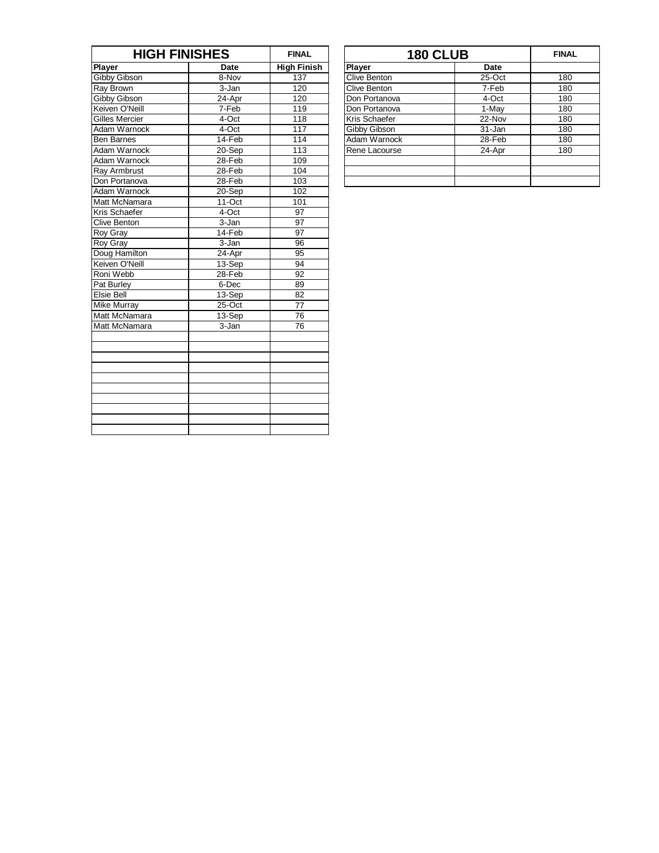|                       | <b>HIGH FINISHES</b> |                    |                     | <b>180 CLUB</b> | <b>FINA</b> |
|-----------------------|----------------------|--------------------|---------------------|-----------------|-------------|
| <b>Player</b>         | <b>Date</b>          | <b>High Finish</b> | Player              | <b>Date</b>     |             |
| Gibby Gibson          | 8-Nov                | 137                | <b>Clive Benton</b> | 25-Oct          | 180         |
| <b>Ray Brown</b>      | 3-Jan                | 120                | Clive Benton        | 7-Feb           | 180         |
| Gibby Gibson          | 24-Apr               | 120                | Don Portanova       | 4-Oct           | 180         |
| Keiven O'Neill        | 7-Feb                | 119                | Don Portanova       | 1-May           | 180         |
| <b>Gilles Mercier</b> | 4-Oct                | 118                | Kris Schaefer       | 22-Nov          | 180         |
| Adam Warnock          | 4-Oct                | 117                | Gibby Gibson        | 31-Jan          | 180         |
| <b>Ben Barnes</b>     | 14-Feb               | 114                | Adam Warnock        | 28-Feb          | 180         |
| Adam Warnock          | 20-Sep               | 113                | Rene Lacourse       | 24-Apr          | 180         |
| Adam Warnock          | 28-Feb               | 109                |                     |                 |             |
| Ray Armbrust          | 28-Feb               | 104                |                     |                 |             |
| Don Portanova         | 28-Feb               | 103                |                     |                 |             |
| Adam Warnock          | 20-Sep               | 102                |                     |                 |             |
| Matt McNamara         | 11-Oct               | 101                |                     |                 |             |
| Kris Schaefer         | 4-Oct                | $\overline{97}$    |                     |                 |             |
| <b>Clive Benton</b>   | 3-Jan                | 97                 |                     |                 |             |
| <b>Roy Gray</b>       | 14-Feb               | 97                 |                     |                 |             |
| Roy Gray              | 3-Jan                | 96                 |                     |                 |             |
| Doug Hamilton         | 24-Apr               | 95                 |                     |                 |             |
| Keiven O'Neill        | 13-Sep               | 94                 |                     |                 |             |
| Roni Webb             | 28-Feb               | 92                 |                     |                 |             |
| Pat Burley            | 6-Dec                | 89                 |                     |                 |             |
| Elsie Bell            | 13-Sep               | $\overline{82}$    |                     |                 |             |
| <b>Mike Murray</b>    | 25-Oct               | 77                 |                     |                 |             |
| Matt McNamara         | 13-Sep               | 76                 |                     |                 |             |
| Matt McNamara         | 3-Jan                | 76                 |                     |                 |             |
|                       |                      |                    |                     |                 |             |
|                       |                      |                    |                     |                 |             |
|                       |                      |                    |                     |                 |             |
|                       |                      |                    |                     |                 |             |
|                       |                      |                    |                     |                 |             |
|                       |                      |                    |                     |                 |             |
|                       |                      |                    |                     |                 |             |
|                       |                      |                    |                     |                 |             |
|                       |                      |                    |                     |                 |             |
|                       |                      |                    |                     |                 |             |

| <b>HIGH FINISHES</b>      |        | <b>FINAL</b>       | <b>180 CLUB</b> |        | <b>FINAL</b> |
|---------------------------|--------|--------------------|-----------------|--------|--------------|
|                           | Date   | <b>High Finish</b> | <b>Player</b>   | Date   |              |
| on                        | 8-Nov  | 137                | Clive Benton    | 25-Oct | 180          |
|                           | 3-Jan  | 120                | Clive Benton    | 7-Feb  | 180          |
| on                        | 24-Apr | 120                | Don Portanova   | 4-Oct  | 180          |
| leill                     | 7-Feb  | 119                | Don Portanova   | 1-May  | 180          |
| $\overline{\mathsf{ier}}$ | 4-Oct  | 118                | Kris Schaefer   | 22-Nov | 180          |
| nock                      | 4-Oct  | 117                | Gibby Gibson    | 31-Jan | 180          |
|                           | 14-Feb | 114                | Adam Warnock    | 28-Feb | 180          |
| nock                      | 20-Sep | 113                | Rene Lacourse   | 24-Apr | 180          |
| nock                      | 28-Feb | 109                |                 |        |              |
| ust                       | 28-Feb | 104                |                 |        |              |
| iova                      | 28-Feb | 103                |                 |        |              |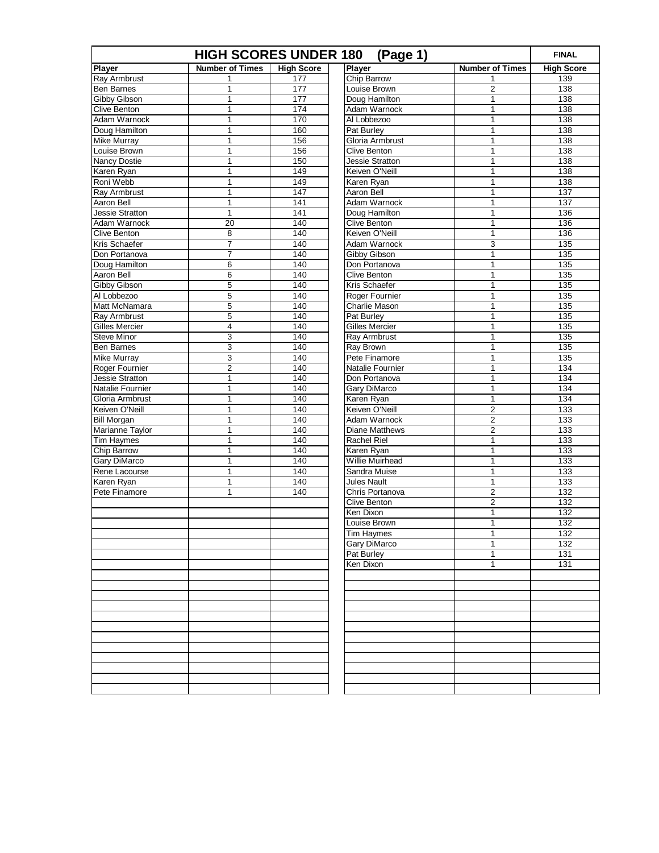| <b>HIGH SCORES UNDER 180</b><br>(Page 1) |                         |                   |                                 |                        | <b>FINAL</b>      |
|------------------------------------------|-------------------------|-------------------|---------------------------------|------------------------|-------------------|
| Player                                   | <b>Number of Times</b>  | <b>High Score</b> | <b>Player</b>                   | <b>Number of Times</b> | <b>High Score</b> |
| Ray Armbrust                             | 1                       | 177               | Chip Barrow                     | 1                      | 139               |
| <b>Ben Barnes</b>                        | 1                       | 177               | Louise Brown                    | $\overline{c}$         | 138               |
| Gibby Gibson                             | 1                       | 177               | Doug Hamilton                   | 1                      | 138               |
| Clive Benton                             | 1                       | 174               | Adam Warnock                    | 1                      | 138               |
| Adam Warnock                             | 1                       | 170               | Al Lobbezoo                     | 1                      | 138               |
| Doug Hamilton                            | $\mathbf{1}$            | 160               | Pat Burley                      | 1                      | 138               |
| <b>Mike Murray</b>                       | 1                       | 156               | Gloria Armbrust                 | 1                      | 138               |
| Louise Brown                             | 1                       | 156               | <b>Clive Benton</b>             | 1                      | 138               |
| <b>Nancy Dostie</b>                      | 1                       | 150               | Jessie Stratton                 | 1                      | 138               |
| Karen Ryan                               | 1                       | 149               | Keiven O'Neill                  | 1                      | 138               |
| Roni Webb                                | $\mathbf{1}$            | 149               | Karen Ryan                      | 1                      | 138               |
| Ray Armbrust                             | 1                       | 147               | Aaron Bell                      | 1                      | 137               |
| Aaron Bell                               | 1                       | 141               | Adam Warnock                    | 1                      | 137               |
| Jessie Stratton                          | $\mathbf 1$             | 141               | Doug Hamilton                   | 1                      | 136               |
| Adam Warnock                             | $\overline{20}$         | 140               | <b>Clive Benton</b>             | 1                      | 136               |
| <b>Clive Benton</b>                      | 8                       | 140               | Keiven O'Neill                  | 1                      | 136               |
| Kris Schaefer                            | 7                       | 140               | Adam Warnock                    | 3                      | 135               |
| Don Portanova                            | $\overline{7}$          | 140               | Gibby Gibson                    | 1                      | 135               |
| Doug Hamilton                            | 6                       | 140               | Don Portanova                   | 1                      | 135               |
| Aaron Bell                               | 6                       | 140               | <b>Clive Benton</b>             | 1                      | 135               |
| <b>Gibby Gibson</b>                      | 5                       | 140               | Kris Schaefer                   | 1                      | 135               |
| Al Lobbezoo                              | 5                       | 140               | Roger Fournier                  | 1                      | 135               |
| Matt McNamara                            | 5                       | 140               | Charlie Mason                   | 1                      | 135               |
| Ray Armbrust                             | 5                       | 140               | Pat Burley                      | 1                      | 135               |
| <b>Gilles Mercier</b>                    | 4                       | 140               | <b>Gilles Mercier</b>           | 1                      | 135               |
| <b>Steve Minor</b>                       | 3                       | 140               | Ray Armbrust                    | 1                      | 135               |
| Ben Barnes                               | 3                       | 140               | Ray Brown                       | 1                      | 135               |
| <b>Mike Murray</b>                       | 3                       | 140               | Pete Finamore                   | 1                      | 135               |
| Roger Fournier                           | $\overline{\mathbf{c}}$ | 140               | Natalie Fournier                | 1                      | 134               |
| <b>Jessie Stratton</b>                   | $\mathbf{1}$            | 140               | Don Portanova                   | 1                      | 134               |
| Natalie Fournier                         | $\mathbf{1}$            | 140               | Gary DiMarco                    | 1                      | 134               |
| Gloria Armbrust                          | 1                       | 140               | Karen Ryan                      | 1                      | 134               |
| Keiven O'Neill                           | 1                       | 140               | Keiven O'Neill                  | $\overline{2}$         | 133               |
| <b>Bill Morgan</b>                       | 1                       | 140               | Adam Warnock                    | $\overline{c}$         | 133               |
| Marianne Taylor                          | $\mathbf{1}$            | 140               | <b>Diane Matthews</b>           | $\overline{2}$         | 133               |
| Tim Haymes                               | $\mathbf{1}$            | 140               | <b>Rachel Riel</b>              | 1                      | 133               |
| Chip Barrow                              | 1                       | 140               | Karen Ryan                      | 1                      | 133               |
| Gary DiMarco<br>Rene Lacourse            | 1<br>1                  | 140<br>140        | Willie Muirhead<br>Sandra Muise | 1<br>1                 | 133<br>133        |
| Karen Ryan                               | $\mathbf{1}$            | 140               | Jules Nault                     | 1                      | 133               |
| Pete Finamore                            | 1                       | 140               | Chris Portanova                 | $\overline{2}$         | 132               |
|                                          |                         |                   | <b>Clive Benton</b>             | $\overline{c}$         | 132               |
|                                          |                         |                   | Ken Dixon                       | 1                      | 132               |
|                                          |                         |                   | Louise Brown                    | 1                      | 132               |
|                                          |                         |                   | <b>Tim Haymes</b>               | 1                      | 132               |
|                                          |                         |                   | Gary DiMarco                    | 1                      | 132               |
|                                          |                         |                   | Pat Burley                      | 1                      | 131               |
|                                          |                         |                   | Ken Dixon                       | $\mathbf{1}$           | 131               |
|                                          |                         |                   |                                 |                        |                   |
|                                          |                         |                   |                                 |                        |                   |
|                                          |                         |                   |                                 |                        |                   |
|                                          |                         |                   |                                 |                        |                   |
|                                          |                         |                   |                                 |                        |                   |
|                                          |                         |                   |                                 |                        |                   |
|                                          |                         |                   |                                 |                        |                   |
|                                          |                         |                   |                                 |                        |                   |
|                                          |                         |                   |                                 |                        |                   |
|                                          |                         |                   |                                 |                        |                   |
|                                          |                         |                   |                                 |                        |                   |
|                                          |                         |                   |                                 |                        |                   |
|                                          |                         |                   |                                 |                        |                   |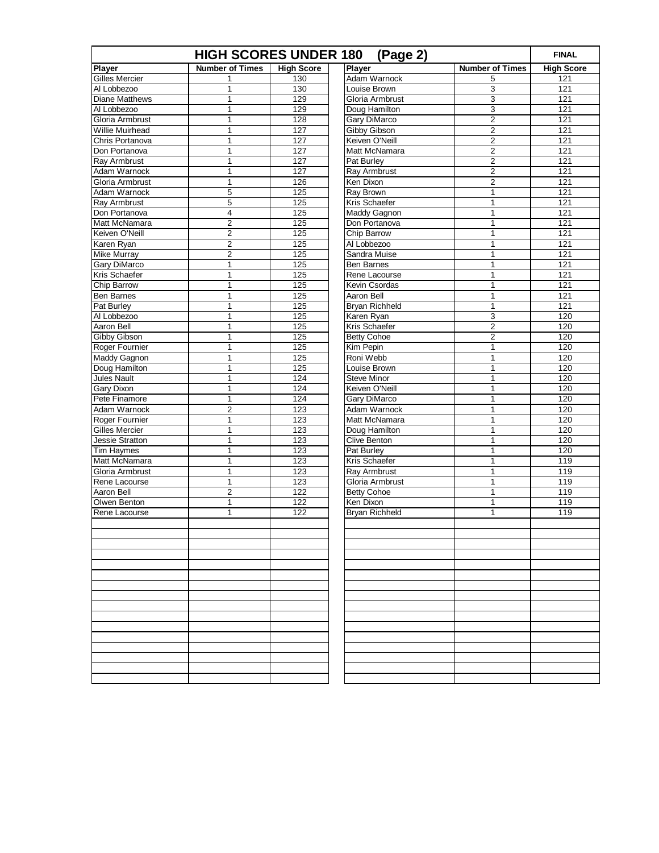| <b>HIGH SCORES UNDER 180</b><br>(Page 2) |                              |                   |                                    |                        | <b>FINAL</b>      |
|------------------------------------------|------------------------------|-------------------|------------------------------------|------------------------|-------------------|
| <b>Player</b>                            | <b>Number of Times</b>       | <b>High Score</b> | Player                             | <b>Number of Times</b> | <b>High Score</b> |
| <b>Gilles Mercier</b>                    | 1                            | 130               | <b>Adam Warnock</b>                | 5                      | 121               |
| Al Lobbezoo                              | 1                            | 130               | Louise Brown                       | 3                      | 121               |
| <b>Diane Matthews</b>                    | $\mathbf{1}$                 | 129               | Gloria Armbrust                    | 3                      | 121               |
| Al Lobbezoo                              | $\mathbf 1$                  | 129               | Doug Hamilton                      | 3                      | 121               |
| Gloria Armbrust                          | 1                            | 128               | Gary DiMarco                       | $\overline{2}$         | 121               |
| Willie Muirhead                          | $\mathbf{1}$                 | 127               | Gibby Gibson                       | $\sqrt{2}$             | 121               |
| Chris Portanova                          | 1                            | 127               | Keiven O'Neill                     | 2                      | 121               |
| Don Portanova                            | $\mathbf{1}$                 | 127               | Matt McNamara                      | $\overline{2}$         | 121               |
| Ray Armbrust                             | $\mathbf 1$                  | 127               | Pat Burley                         | 2                      | 121               |
| Adam Warnock                             | 1                            | 127               | Ray Armbrust                       | $\overline{2}$         | 121               |
| Gloria Armbrust                          | $\mathbf{1}$                 | 126               | Ken Dixon                          | $\overline{2}$         | 121               |
| Adam Warnock                             | 5                            | 125               | Ray Brown                          | 1                      | 121               |
| Ray Armbrust                             | 5                            | 125               | Kris Schaefer                      | 1                      | 121               |
| Don Portanova                            | 4                            | 125               | Maddy Gagnon                       | 1                      | 121               |
| Matt McNamara                            | $\overline{2}$               | 125               | Don Portanova                      | 1                      | 121               |
| Keiven O'Neill                           | $\overline{\mathbf{c}}$      | 125               | Chip Barrow                        | 1                      | 121               |
| Karen Ryan                               | $\overline{2}$               | 125               | Al Lobbezoo                        | 1                      | 121               |
| Mike Murray                              | $\overline{2}$               | 125               | Sandra Muise                       | 1                      | 121               |
| Gary DiMarco                             | $\mathbf 1$                  | 125               | Ben Barnes                         | 1                      | 121               |
| Kris Schaefer                            | $\mathbf 1$                  | 125               | Rene Lacourse                      | 1                      | 121               |
| Chip Barrow                              | $\mathbf{1}$                 | 125               | Kevin Csordas                      | 1                      | 121               |
| Ben Barnes                               | 1                            | 125               | Aaron Bell                         | 1                      | 121               |
| Pat Burley                               | $\mathbf{1}$                 | 125               | Bryan Richheld                     | 1                      | 121               |
| Al Lobbezoo                              | $\mathbf{1}$                 | 125               | Karen Ryan                         | 3                      | 120               |
| Aaron Bell                               | $\mathbf 1$                  | 125               | Kris Schaefer                      | $\overline{2}$         | 120               |
| Gibby Gibson                             | $\mathbf{1}$                 | 125               | <b>Betty Cohoe</b>                 | $\overline{2}$         | 120               |
| Roger Fournier                           | 1                            | 125               | Kim Pepin                          | 1                      | 120<br>120        |
| Maddy Gagnon                             | $\mathbf{1}$<br>$\mathbf{1}$ | 125               | Roni Webb                          | 1<br>1                 | 120               |
| Doug Hamilton<br><b>Jules Nault</b>      |                              | 125<br>124        | Louise Brown<br><b>Steve Minor</b> | 1                      | 120               |
| Gary Dixon                               | $\mathbf 1$<br>$\mathbf{1}$  | 124               | Keiven O'Neill                     | 1                      | 120               |
| Pete Finamore                            | $\mathbf{1}$                 | 124               | Gary DiMarco                       | 1                      | 120               |
| Adam Warnock                             | $\overline{2}$               | 123               | Adam Warnock                       | 1                      | 120               |
| Roger Fournier                           | $\mathbf{1}$                 | 123               | Matt McNamara                      | 1                      | 120               |
| <b>Gilles Mercier</b>                    | 1                            | 123               | Doug Hamilton                      | 1                      | 120               |
| Jessie Stratton                          | $\mathbf{1}$                 | 123               | <b>Clive Benton</b>                | 1                      | 120               |
| <b>Tim Haymes</b>                        | $\mathbf{1}$                 | 123               | Pat Burley                         | 1                      | 120               |
| Matt McNamara                            | $\mathbf{1}$                 | 123               | Kris Schaefer                      | 1                      | 119               |
| Gloria Armbrust                          | $\mathbf{1}$                 | 123               | <b>Ray Armbrust</b>                | 1                      | 119               |
| Rene Lacourse                            | $\mathbf 1$                  | 123               | Gloria Armbrust                    | 1                      | 119               |
| Aaron Bell                               | $\overline{2}$               | 122               | <b>Betty Cohoe</b>                 | 1                      | 119               |
| Olwen Benton                             | $\mathbf{1}$                 | 122               | Ken Dixon                          | 1                      | 119               |
| Rene Lacourse                            | $\mathbf{1}$                 | 122               | Bryan Richheld                     | 1                      | 119               |
|                                          |                              |                   |                                    |                        |                   |
|                                          |                              |                   |                                    |                        |                   |
|                                          |                              |                   |                                    |                        |                   |
|                                          |                              |                   |                                    |                        |                   |
|                                          |                              |                   |                                    |                        |                   |
|                                          |                              |                   |                                    |                        |                   |
|                                          |                              |                   |                                    |                        |                   |
|                                          |                              |                   |                                    |                        |                   |
|                                          |                              |                   |                                    |                        |                   |
|                                          |                              |                   |                                    |                        |                   |
|                                          |                              |                   |                                    |                        |                   |
|                                          |                              |                   |                                    |                        |                   |
|                                          |                              |                   |                                    |                        |                   |
|                                          |                              |                   |                                    |                        |                   |
|                                          |                              |                   |                                    |                        |                   |
|                                          |                              |                   |                                    |                        |                   |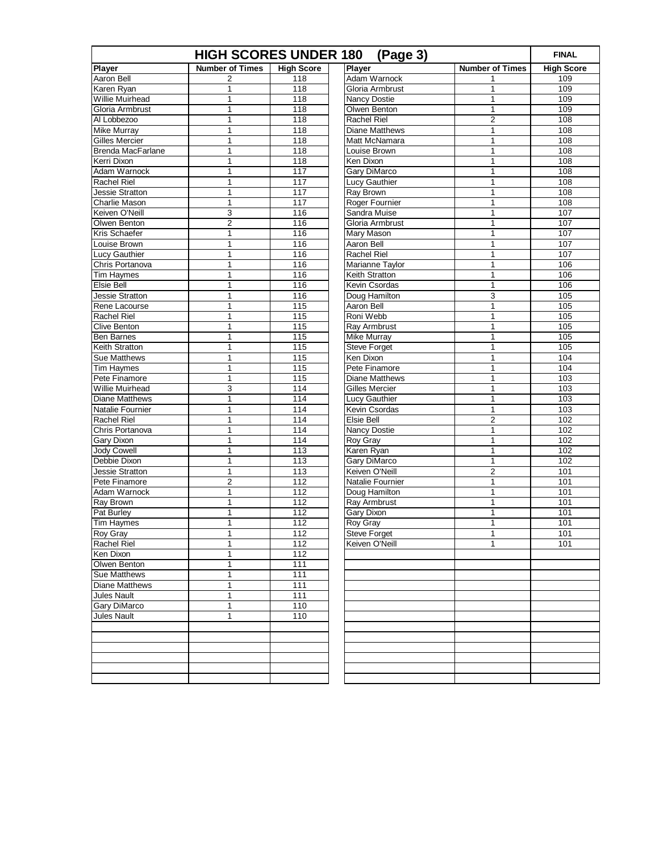| <b>HIGH SCORES UNDER 180</b><br>(Page 3) |                        |                   |                       |                        | <b>FINAL</b>      |
|------------------------------------------|------------------------|-------------------|-----------------------|------------------------|-------------------|
| Player                                   | <b>Number of Times</b> | <b>High Score</b> | Player                | <b>Number of Times</b> | <b>High Score</b> |
| Aaron Bell                               | 2                      | 118               | Adam Warnock          | 1                      | 109               |
| Karen Ryan                               | 1                      | $\overline{118}$  | Gloria Armbrust       | 1                      | 109               |
| Willie Muirhead                          | $\mathbf{1}$           | 118               | <b>Nancy Dostie</b>   | $\mathbf{1}$           | 109               |
| Gloria Armbrust                          | $\mathbf{1}$           | $\overline{118}$  | Olwen Benton          | 1                      | 109               |
| Al Lobbezoo                              | 1                      | $\overline{118}$  | <b>Rachel Riel</b>    | $\overline{2}$         | 108               |
| <b>Mike Murray</b>                       | $\mathbf{1}$           | 118               | <b>Diane Matthews</b> | 1                      | 108               |
| <b>Gilles Mercier</b>                    | 1                      | $\overline{118}$  | Matt McNamara         | 1                      | 108               |
| <b>Brenda MacFarlane</b>                 | $\mathbf{1}$           | 118               | Louise Brown          | 1                      | 108               |
| Kerri Dixon                              | $\mathbf{1}$           | $\overline{118}$  | Ken Dixon             | 1                      | 108               |
| Adam Warnock                             | 1                      | 117               | <b>Gary DiMarco</b>   | 1                      | 108               |
| Rachel Riel                              | $\mathbf{1}$           | 117               | Lucy Gauthier         | 1                      | 108               |
| Jessie Stratton                          | 1                      | 117               | Ray Brown             | 1                      | 108               |
| <b>Charlie Mason</b>                     | $\mathbf{1}$           | 117               | Roger Fournier        | 1                      | 108               |
| Keiven O'Neill                           | 3                      | 116               | Sandra Muise          | 1                      | 107               |
| Olwen Benton                             | $\overline{2}$         | 116               | Gloria Armbrust       | 1                      | 107               |
| Kris Schaefer                            | $\mathbf{1}$           | 116               | Mary Mason            | 1                      | 107               |
| Louise Brown                             | $\mathbf{1}$           | 116               | Aaron Bell            | 1                      | 107               |
| <b>Lucy Gauthier</b>                     | $\mathbf{1}$           | 116               | <b>Rachel Riel</b>    | 1                      | 107               |
| Chris Portanova                          | $\mathbf{1}$           | 116               | Marianne Taylor       | 1                      | 106               |
| Tim Haymes                               | 1                      | 116               | Keith Stratton        | 1                      | 106               |
| Elsie Bell                               | $\mathbf{1}$           | 116               | Kevin Csordas         | 1                      | 106               |
| Jessie Stratton                          | 1                      | 116               | Doug Hamilton         | 3                      | 105               |
| Rene Lacourse                            | $\mathbf{1}$           | 115               | Aaron Bell            | $\mathbf{1}$           | 105               |
| <b>Rachel Riel</b>                       | $\mathbf{1}$           | 115               | Roni Webb             | 1                      | 105               |
| <b>Clive Benton</b>                      | 1                      | 115               | Ray Armbrust          | 1                      | 105               |
| <b>Ben Barnes</b>                        | $\mathbf{1}$           | 115               | Mike Murray           | 1                      | 105               |
| Keith Stratton                           | $\mathbf{1}$           | 115               | <b>Steve Forget</b>   | 1                      | 105               |
| <b>Sue Matthews</b>                      | $\mathbf{1}$           | 115               | Ken Dixon             | 1                      | 104               |
| Tim Haymes                               | $\mathbf{1}$           | 115               | Pete Finamore         | 1                      | 104               |
| Pete Finamore                            | $\mathbf{1}$           | 115               | <b>Diane Matthews</b> | 1                      | 103               |
| <b>Willie Muirhead</b>                   | 3                      | 114               | Gilles Mercier        | 1                      | 103               |
| <b>Diane Matthews</b>                    | $\mathbf{1}$           | 114               | Lucy Gauthier         | 1                      | 103               |
| Natalie Fournier                         | $\mathbf{1}$           | 114               | Kevin Csordas         | $\mathbf{1}$           | 103               |
| <b>Rachel Riel</b>                       | $\mathbf{1}$           | 114               | <b>Elsie Bell</b>     | $\overline{2}$         | 102               |
| Chris Portanova                          | 1                      | 114               | <b>Nancy Dostie</b>   | 1                      | 102               |
| Gary Dixon                               | $\mathbf{1}$           | 114               | Roy Gray              | 1                      | 102               |
| <b>Jody Cowell</b>                       | $\mathbf{1}$           | $\overline{113}$  | Karen Ryan            | 1                      | 102               |
| Debbie Dixon                             | $\mathbf{1}$           | 113               | Gary DiMarco          | $\mathbf{1}$           | 102               |
| Jessie Stratton                          | $\mathbf{1}$           | $\overline{113}$  | Keiven O'Neill        | $\overline{2}$         | 101               |
| Pete Finamore                            | $\overline{2}$         | 112               | Natalie Fournier      | 1                      | 101               |
| Adam Warnock                             | $\mathbf 1$            | 112               | Doug Hamilton         | 1                      | 101               |
| Ray Brown                                | $\mathbf{1}$           | 112               | <b>Ray Armbrust</b>   | 1                      | 101               |
| Pat Burley                               | $\mathbf{1}$           | 112               | Gary Dixon            | 1                      | 101               |
| Tim Haymes                               | 1                      | 112               | Roy Gray              | 1                      | 101               |
| Roy Gray                                 | 1                      | 112               | Steve Forget          | 1                      | 101               |
| <b>Rachel Riel</b>                       | $\mathbf{1}$           | 112               | Keiven O'Neill        | 1                      | 101               |
| Ken Dixon                                | 1                      | 112               |                       |                        |                   |
| Olwen Benton                             | $\mathbf{1}$           | 111               |                       |                        |                   |
| Sue Matthews                             | $\mathbf{1}$           | $\frac{111}{11}$  |                       |                        |                   |
| Diane Matthews                           | $\mathbf{1}$           | 111               |                       |                        |                   |
| Jules Nault                              | $\mathbf{1}$           | 111               |                       |                        |                   |
| <b>Gary DiMarco</b>                      | $\mathbf 1$            | 110               |                       |                        |                   |
| Jules Nault                              | $\mathbf{1}$           | 110               |                       |                        |                   |
|                                          |                        |                   |                       |                        |                   |
|                                          |                        |                   |                       |                        |                   |
|                                          |                        |                   |                       |                        |                   |
|                                          |                        |                   |                       |                        |                   |
|                                          |                        |                   |                       |                        |                   |
|                                          |                        |                   |                       |                        |                   |